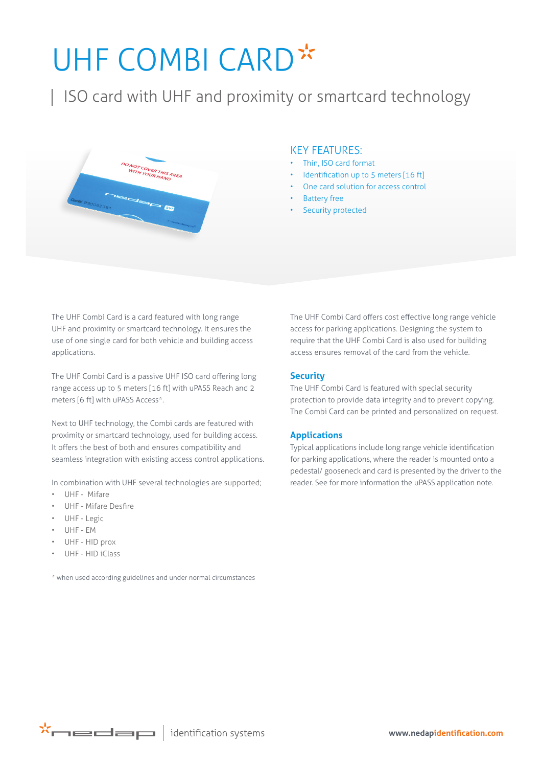# UHF COMBI CARD\*

| ISO card with UHF and proximity or smartcard technology



### KEY FEATURES:

- Thin, ISO card format
- Identification up to 5 meters [16 ft]
- One card solution for access control
- **Battery free**
- **Security protected**

The UHF Combi Card is a card featured with long range UHF and proximity or smartcard technology. It ensures the use of one single card for both vehicle and building access applications.

The UHF Combi Card is a passive UHF ISO card offering long range access up to 5 meters [16 ft] with uPASS Reach and 2 meters [6 ft] with uPASS Access\*.

Next to UHF technology, the Combi cards are featured with proximity or smartcard technology, used for building access. It offers the best of both and ensures compatibility and seamless integration with existing access control applications.

In combination with UHF several technologies are supported;

- UHF Mifare
- UHF Mifare Desfire
- UHF Legic
- UHF EM
- UHF HID prox
- UHF HID iClass

\* when used according guidelines and under normal circumstances

The UHF Combi Card offers cost effective long range vehicle access for parking applications. Designing the system to require that the UHF Combi Card is also used for building access ensures removal of the card from the vehicle.

#### **Security**

The UHF Combi Card is featured with special security protection to provide data integrity and to prevent copying. The Combi Card can be printed and personalized on request.

#### **Applications**

Typical applications include long range vehicle identification for parking applications, where the reader is mounted onto a pedestal/ gooseneck and card is presented by the driver to the reader. See for more information the uPASS application note.

 $\mathbf{x}$  identification systems

**www.nedapidentification.com**